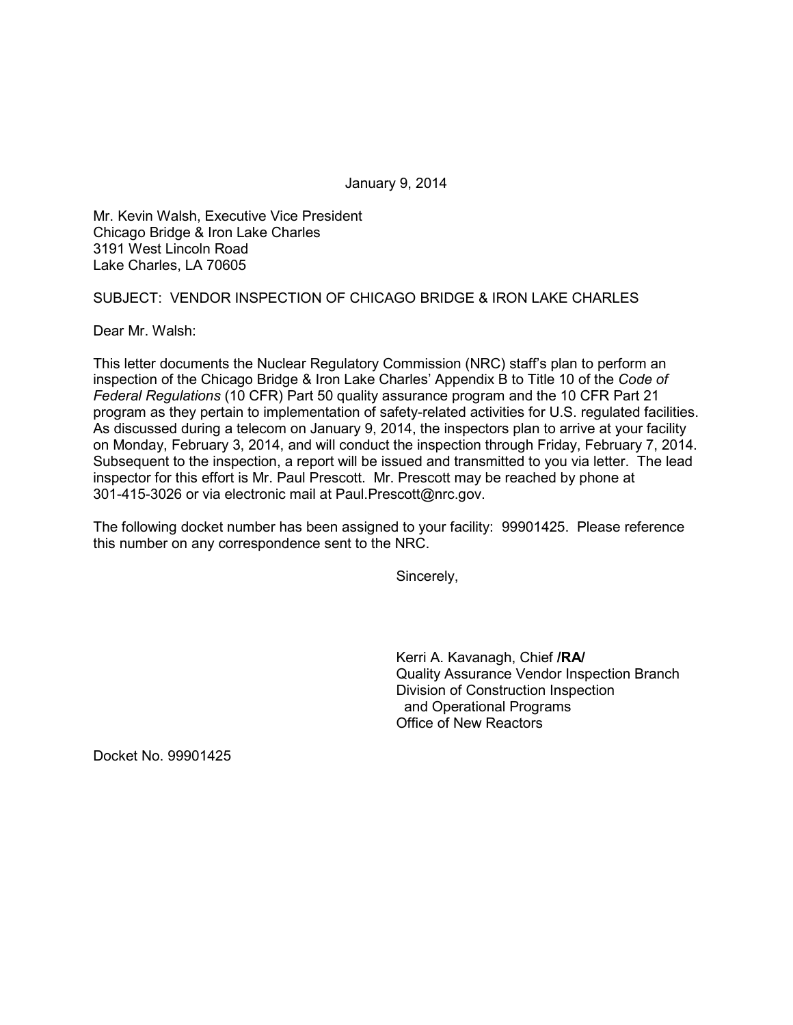January 9, 2014

Mr. Kevin Walsh, Executive Vice President Chicago Bridge & Iron Lake Charles 3191 West Lincoln Road Lake Charles, LA 70605

## SUBJECT: VENDOR INSPECTION OF CHICAGO BRIDGE & IRON LAKE CHARLES

Dear Mr. Walsh:

This letter documents the Nuclear Regulatory Commission (NRC) staff's plan to perform an inspection of the Chicago Bridge & Iron Lake Charles' Appendix B to Title 10 of the *Code of Federal Regulations* (10 CFR) Part 50 quality assurance program and the 10 CFR Part 21 program as they pertain to implementation of safety-related activities for U.S. regulated facilities. As discussed during a telecom on January 9, 2014, the inspectors plan to arrive at your facility on Monday, February 3, 2014, and will conduct the inspection through Friday, February 7, 2014. Subsequent to the inspection, a report will be issued and transmitted to you via letter. The lead inspector for this effort is Mr. Paul Prescott. Mr. Prescott may be reached by phone at 301-415-3026 or via electronic mail at Paul.Prescott@nrc.gov.

The following docket number has been assigned to your facility: 99901425. Please reference this number on any correspondence sent to the NRC.

Sincerely,

Kerri A. Kavanagh, Chief **/RA/** Quality Assurance Vendor Inspection Branch Division of Construction Inspection and Operational Programs Office of New Reactors

Docket No. 99901425